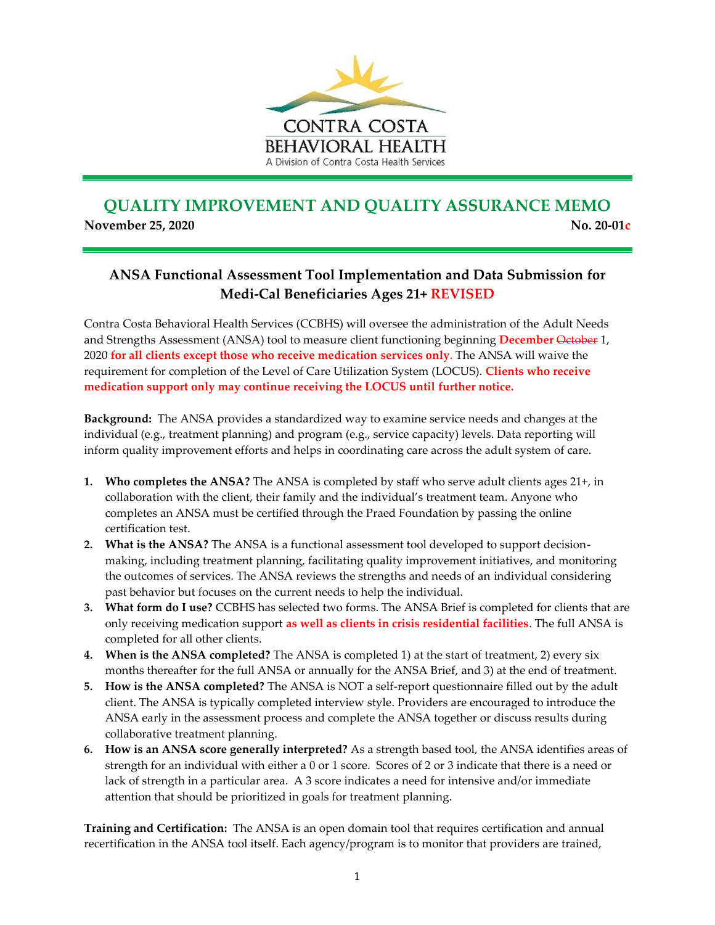

## **QUALITY IMPROVEMENT AND QUALITY ASSURANCE MEMO November 25, 2020** No. 20-01c

## **ANSA Functional Assessment Tool Implementation and Data Submission for Medi-Cal Beneficiaries Ages 21+ REVISED**

Contra Costa Behavioral Health Services (CCBHS) will oversee the administration of the Adult Needs and Strengths Assessment (ANSA) tool to measure client functioning beginning **December** October 1, 2020 **for all clients except those who receive medication services only**. The ANSA will waive the requirement for completion of the Level of Care Utilization System (LOCUS). **Clients who receive medication support only may continue receiving the LOCUS until further notice.**

**Background:** The ANSA provides a standardized way to examine service needs and changes at the individual (e.g., treatment planning) and program (e.g., service capacity) levels. Data reporting will inform quality improvement efforts and helps in coordinating care across the adult system of care.

- **1. Who completes the ANSA?** The ANSA is completed by staff who serve adult clients ages 21+, in collaboration with the client, their family and the individual's treatment team. Anyone who completes an ANSA must be certified through the Praed Foundation by passing the online certification test.
- **2. What is the ANSA?** The ANSA is a functional assessment tool developed to support decisionmaking, including treatment planning, facilitating quality improvement initiatives, and monitoring the outcomes of services. The ANSA reviews the strengths and needs of an individual considering past behavior but focuses on the current needs to help the individual.
- **3. What form do I use?** CCBHS has selected two forms. The ANSA Brief is completed for clients that are only receiving medication support **as well as clients in crisis residential facilities**. The full ANSA is completed for all other clients.
- **4. When is the ANSA completed?** The ANSA is completed 1) at the start of treatment, 2) every six months thereafter for the full ANSA or annually for the ANSA Brief, and 3) at the end of treatment.
- **5. How is the ANSA completed?** The ANSA is NOT a self-report questionnaire filled out by the adult client. The ANSA is typically completed interview style. Providers are encouraged to introduce the ANSA early in the assessment process and complete the ANSA together or discuss results during collaborative treatment planning.
- **6. How is an ANSA score generally interpreted?** As a strength based tool, the ANSA identifies areas of strength for an individual with either a 0 or 1 score. Scores of 2 or 3 indicate that there is a need or lack of strength in a particular area. A 3 score indicates a need for intensive and/or immediate attention that should be prioritized in goals for treatment planning.

**Training and Certification:** The ANSA is an open domain tool that requires certification and annual recertification in the ANSA tool itself. Each agency/program is to monitor that providers are trained,